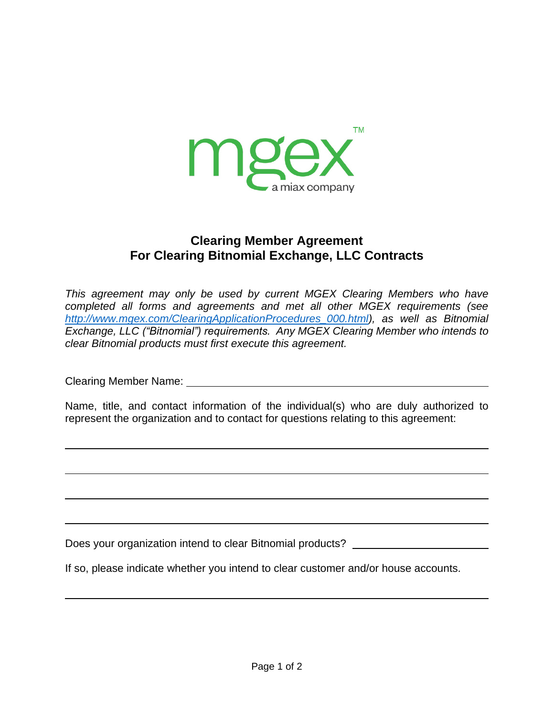

## **Clearing Member Agreement For Clearing Bitnomial Exchange, LLC Contracts**

*This agreement may only be used by current MGEX Clearing Members who have completed all forms and agreements and met all other MGEX requirements (see [http://www.mgex.com/ClearingApplicationProcedures\\_000.html\)](http://www.mgex.com/ClearingApplicationProcedures_000.html), as well as Bitnomial Exchange, LLC ("Bitnomial") requirements. Any MGEX Clearing Member who intends to clear Bitnomial products must first execute this agreement.*

Clearing Member Name:

Name, title, and contact information of the individual(s) who are duly authorized to represent the organization and to contact for questions relating to this agreement:

Does your organization intend to clear Bitnomial products?

If so, please indicate whether you intend to clear customer and/or house accounts.